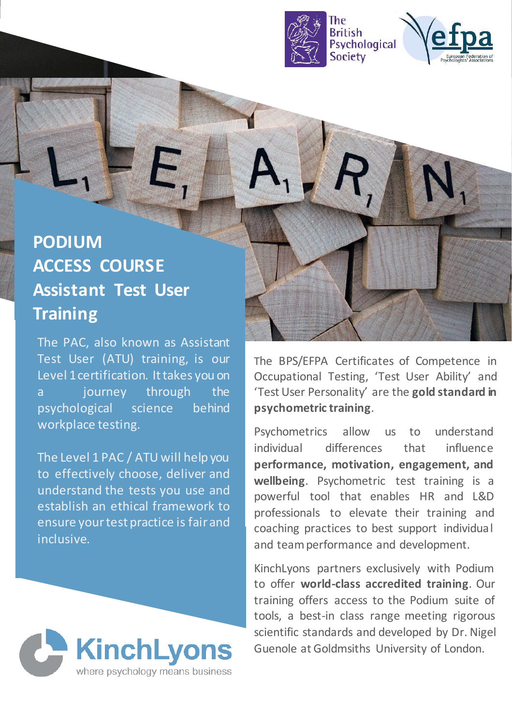



# **PODIUM ACCESS COURSE Assistant Test User Training**

The PAC, also known as Assistant Test User (ATU) training, is our Level 1 certification. It takes you on a journey through the psychological science behind workplace testing.

The Level 1 PAC / ATU will help you to effectively choose, deliver and understand the tests you use and establish an ethical framework to ensure yourtest practice is fair and inclusive.



The BPS/EFPA Certificates of Competence in Occupational Testing, 'Test User Ability' and 'Test User Personality' are the **gold standard in psychometric training**.

Psychometrics allow us to understand individual differences that influence **performance, motivation, engagement, and wellbeing**. Psychometric test training is a powerful tool that enables HR and L&D professionals to elevate their training and coaching practices to best support individual and teamperformance and development.

KinchLyons partners exclusively with Podium to offer **world-class accredited training**. Our training offers access to the Podium suite of tools, a best-in class range meeting rigorous scientific standards and developed by Dr. Nigel Guenole at Goldmsiths University of London.